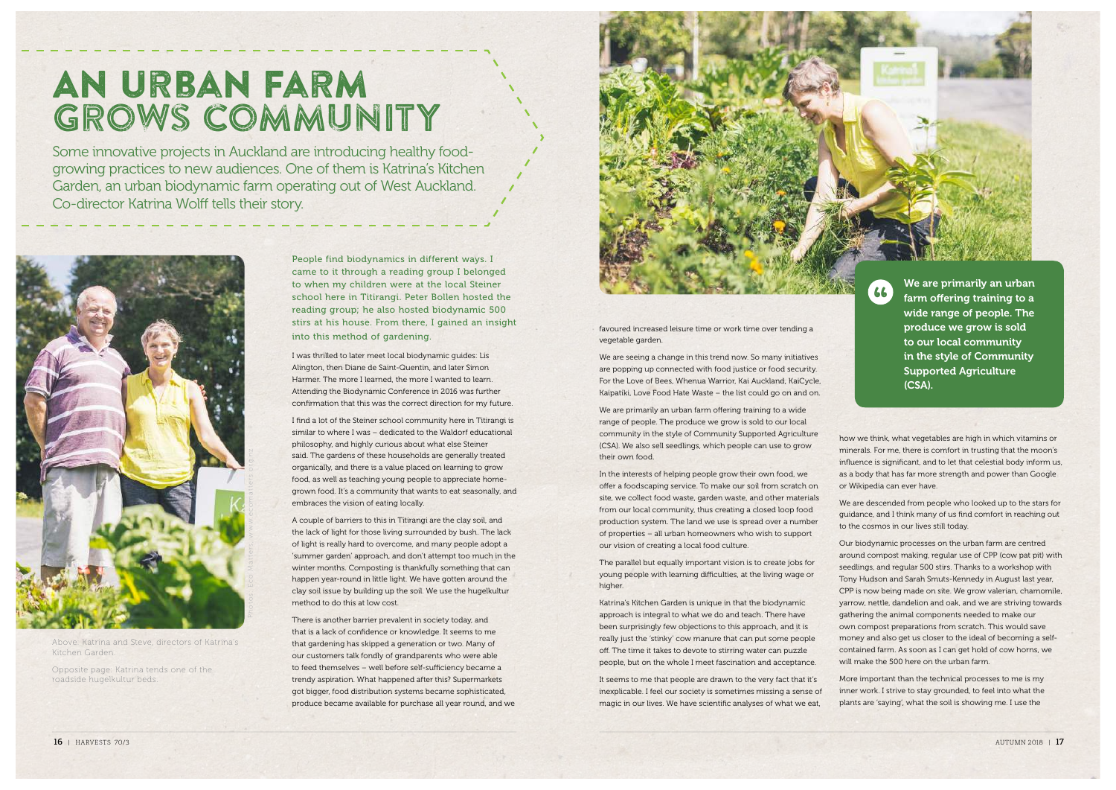## An Urban Farm grows community

Some innovative projects in Auckland are introducing healthy foodgrowing practices to new audiences. One of them is Katrina's Kitchen Garden, an urban biodynamic farm operating out of West Auckland. Co-director Katrina Wolff tells their story.



Above: Katrina and Steve, directors of Katrina's Kitchen Garden.

Opposite page: Katrina tends one of the roadside hugelkultur beds.

People find biodynamics in different ways. I came to it through a reading group I belonged to when my children were at the local Steiner school here in Titirangi. Peter Bollen hosted the reading group; he also hosted biodynamic 500 stirs at his house. From there, I gained an insight into this method of gardening.

I was thrilled to later meet local biodynamic guides: Lis Alington, then Diane de Saint-Quentin, and later Simon Harmer. The more I learned, the more I wanted to learn. Attending the Biodynamic Conference in 2016 was further confirmation that this was the correct direction for my future.

I find a lot of the Steiner school community here in Titirangi is similar to where I was – dedicated to the Waldorf educational philosophy, and highly curious about what else Steiner said. The gardens of these households are generally treated organically, and there is a value placed on learning to grow food, as well as teaching young people to appreciate homegrown food. It's a community that wants to eat seasonally, and embraces the vision of eating locally.

A couple of barriers to this in Titirangi are the clay soil, and the lack of light for those living surrounded by bush. The lack of light is really hard to overcome, and many people adopt a 'summer garden' approach, and don't attempt too much in the winter months. Composting is thankfully something that can happen year-round in little light. We have gotten around the clay soil issue by building up the soil. We use the hugelkultur method to do this at low cost.

There is another barrier prevalent in society today, and that is a lack of confidence or knowledge. It seems to me that gardening has skipped a generation or two. Many of our customers talk fondly of grandparents who were able to feed themselves – well before self-sufficiency became a trendy aspiration. What happened after this? Supermarkets got bigger, food distribution systems became sophisticated, produce became available for purchase all year round, and we



favoured increased leisure time or work time over tending a vegetable garden.

We are seeing a change in this trend now. So many initiatives are popping up connected with food justice or food security. For the Love of Bees, Whenua Warrior, Kai Auckland, KaiCycle, Kaipatiki, Love Food Hate Waste – the list could go on and on.

We are primarily an urban farm offering training to a wide range of people. The produce we grow is sold to our local community in the style of Community Supported Agriculture (CSA). We also sell seedlings, which people can use to grow their own food.

In the interests of helping people grow their own food, we offer a foodscaping service. To make our soil from scratch on site, we collect food waste, garden waste, and other materials from our local community, thus creating a closed loop food production system. The land we use is spread over a number of properties – all urban homeowners who wish to support our vision of creating a local food culture.

The parallel but equally important vision is to create jobs for young people with learning difficulties, at the living wage or higher.

Katrina's Kitchen Garden is unique in that the biodynamic approach is integral to what we do and teach. There have been surprisingly few objections to this approach, and it is really just the 'stinky' cow manure that can put some people off. The time it takes to devote to stirring water can puzzle people, but on the whole I meet fascination and acceptance.

It seems to me that people are drawn to the very fact that it's inexplicable. I feel our society is sometimes missing a sense of magic in our lives. We have scientific analyses of what we eat,

We are primarily an urban farm offering training to a wide range of people. The produce we grow is sold to our local community in the style of Community Supported Agriculture (CSA).

how we think, what vegetables are high in which vitamins or minerals. For me, there is comfort in trusting that the moon's influence is significant, and to let that celestial body inform us, as a body that has far more strength and power than Google or Wikipedia can ever have.

We are descended from people who looked up to the stars for guidance, and I think many of us find comfort in reaching out to the cosmos in our lives still today.

Our biodynamic processes on the urban farm are centred around compost making, regular use of CPP (cow pat pit) with seedlings, and regular 500 stirs. Thanks to a workshop with Tony Hudson and Sarah Smuts-Kennedy in August last year, CPP is now being made on site. We grow valerian, chamomile, yarrow, nettle, dandelion and oak, and we are striving towards gathering the animal components needed to make our own compost preparations from scratch. This would save money and also get us closer to the ideal of becoming a selfcontained farm. As soon as I can get hold of cow horns, we will make the 500 here on the urban farm.

More important than the technical processes to me is my inner work. I strive to stay grounded, to feel into what the plants are 'saying', what the soil is showing me. I use the